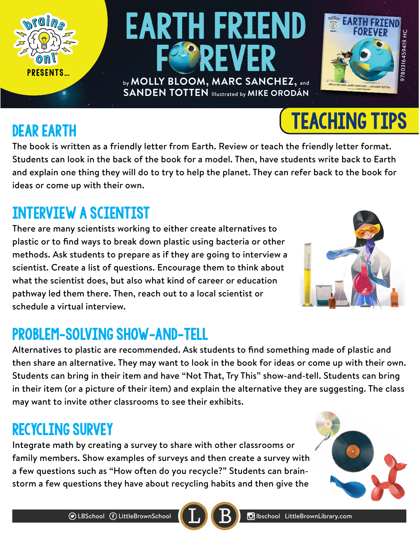

**SANDEN TOTTEN** Illustrated by **MIKE ORODÁN**

## Interview a Scientist

Dear Earth

There are many scientists working to either create alternatives to plastic or to find ways to break down plastic using bacteria or other methods. Ask students to prepare as if they are going to interview a scientist. Create a list of questions. Encourage them to think about what the scientist does, but also what kind of career or education pathway led them there. Then, reach out to a local scientist or schedule a virtual interview.

## Problem-Solving Show-and-Tell

Alternatives to plastic are recommended. Ask students to find something made of plastic and then share an alternative. They may want to look in the book for ideas or come up with their own. Students can bring in their item and have "Not That, Try This" show-and-tell. Students can bring in their item (or a picture of their item) and explain the alternative they are suggesting. The class may want to invite other classrooms to see their exhibits.

### Recycling Survey

Integrate math by creating a survey to share with other classrooms or family members. Show examples of surveys and then create a survey with a few questions such as "How often do you recycle?" Students can brainstorm a few questions they have about recycling habits and then give the





Teaching Tips





**SH 615645941808L6** 9780316459419 HC